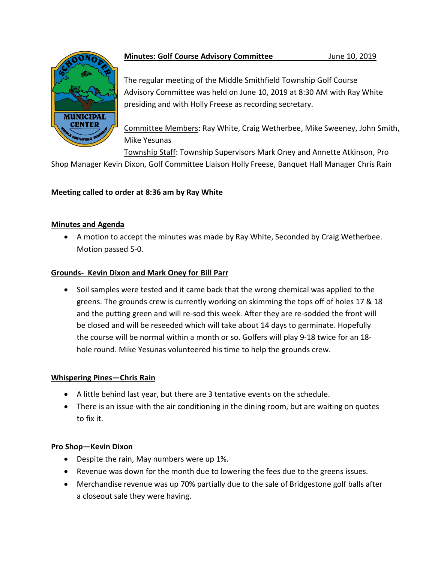

# **Minutes: Golf Course Advisory Committee** *June 10, 2019*

The regular meeting of the Middle Smithfield Township Golf Course Advisory Committee was held on June 10, 2019 at 8:30 AM with Ray White presiding and with Holly Freese as recording secretary.

Committee Members: Ray White, Craig Wetherbee, Mike Sweeney, John Smith, Mike Yesunas

Township Staff: Township Supervisors Mark Oney and Annette Atkinson, Pro

Shop Manager Kevin Dixon, Golf Committee Liaison Holly Freese, Banquet Hall Manager Chris Rain

# **Meeting called to order at 8:36 am by Ray White**

## **Minutes and Agenda**

 A motion to accept the minutes was made by Ray White, Seconded by Craig Wetherbee. Motion passed 5-0.

## **Grounds- Kevin Dixon and Mark Oney for Bill Parr**

• Soil samples were tested and it came back that the wrong chemical was applied to the greens. The grounds crew is currently working on skimming the tops off of holes 17 & 18 and the putting green and will re-sod this week. After they are re-sodded the front will be closed and will be reseeded which will take about 14 days to germinate. Hopefully the course will be normal within a month or so. Golfers will play 9-18 twice for an 18 hole round. Mike Yesunas volunteered his time to help the grounds crew.

## **Whispering Pines—Chris Rain**

- A little behind last year, but there are 3 tentative events on the schedule.
- There is an issue with the air conditioning in the dining room, but are waiting on quotes to fix it.

## **Pro Shop—Kevin Dixon**

- Despite the rain, May numbers were up 1%.
- Revenue was down for the month due to lowering the fees due to the greens issues.
- Merchandise revenue was up 70% partially due to the sale of Bridgestone golf balls after a closeout sale they were having.